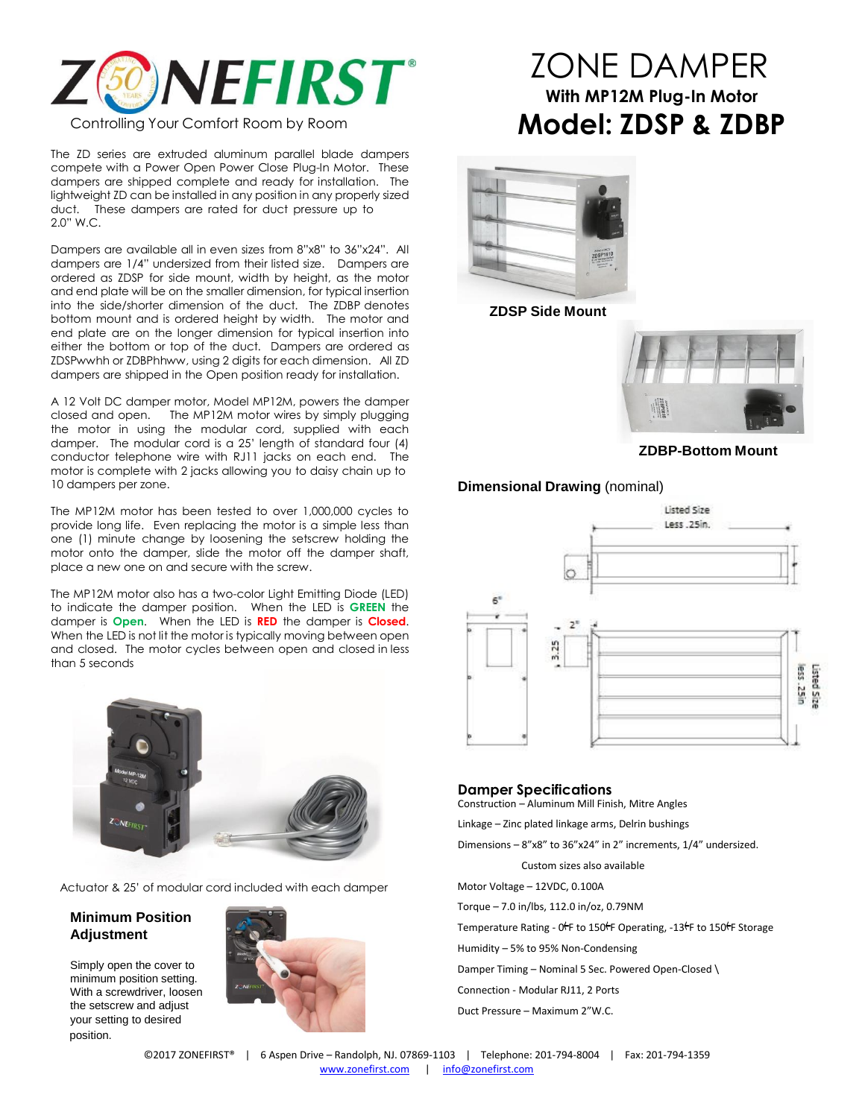

The ZD series are extruded aluminum parallel blade dampers compete with a Power Open Power Close Plug-In Motor. These dampers are shipped complete and ready for installation. The lightweight ZD can be installed in any position in any properly sized duct. These dampers are rated for duct pressure up to

2.0" W.C.

Dampers are available all in even sizes from 8"x8" to 36"x24". All dampers are 1/4" undersized from their listed size. Dampers are ordered as ZDSP for side mount, width by height, as the motor and end plate will be on the smaller dimension, for typical insertion into the side/shorter dimension of the duct. The ZDBP denotes bottom mount and is ordered height by width. The motor and end plate are on the longer dimension for typical insertion into either the bottom or top of the duct. Dampers are ordered as ZDSPwwhh or ZDBPhhww, using 2 digits for each dimension. All ZD dampers are shipped in the Open position ready for installation.

A 12 Volt DC damper motor, Model MP12M, powers the damper closed and open. The MP12M motor wires by simply plugging the motor in using the modular cord, supplied with each damper. The modular cord is a 25' length of standard four (4) conductor telephone wire with RJ11 jacks on each end. The motor is complete with 2 jacks allowing you to daisy chain up to 10 dampers per zone.

The MP12M motor has been tested to over 1,000,000 cycles to provide long life. Even replacing the motor is a simple less than one (1) minute change by loosening the setscrew holding the motor onto the damper, slide the motor off the damper shaft, place a new one on and secure with the screw.

The MP12M motor also has a two-color Light Emitting Diode (LED) to indicate the damper position. When the LED is **GREEN** the damper is **Open**. When the LED is **RED** the damper is **Closed**. When the LED is not lit the motor is typically moving between open and closed. The motor cycles between open and closed in less than 5 seconds



Actuator & 25' of modular cord included with each damper

## **Minimum Position Adjustment**

Simply open the cover to minimum position setting. With a screwdriver, loosen the setscrew and adjust your setting to desired position.





# ZONE DAMPER **With MP12M Plug-In Motor Model: ZDSP & ZDBP**



**ZDSP Side Mount**



**ZDBP-Bottom Mount**

## **Dimensional Drawing** (nominal)



#### **Damper Specifications**

Construction – Aluminum Mill Finish, Mitre Angles

Linkage – Zinc plated linkage arms, Delrin bushings

Dimensions – 8"x8" to 36"x24" in 2" increments, 1/4" undersized.

Custom sizes also available

Motor Voltage – 12VDC, 0.100A

Torque – 7.0 in/lbs, 112.0 in/oz, 0.79NM

Temperature Rating -  $0$ <sup> $\vdash$ </sup>F to 150 $\nvdash$ F Operating, -13 $\nvdash$ F to 150 $\nvdash$ F Storage

Humidity – 5% to 95% Non-Condensing

Damper Timing – Nominal 5 Sec. Powered Open-Closed \

Connection - Modular RJ11, 2 Ports

Duct Pressure – Maximum 2"W.C.